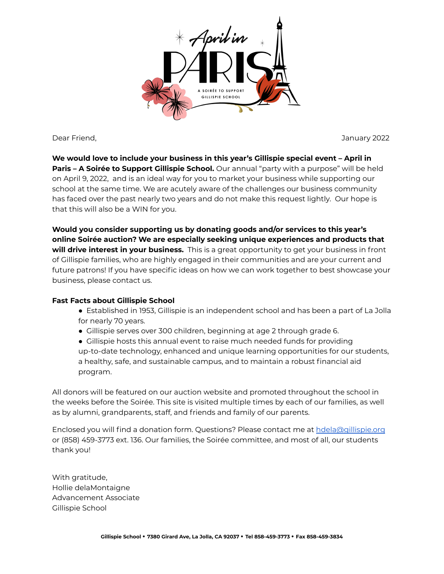

Dear Friend, January 2022

**We would love to include your business in this year's Gillispie special event – April in Paris – A Soirée to Support Gillispie School.** Our annual "party with a purpose" will be held on April 9, 2022, and is an ideal way for you to market your business while supporting our school at the same time. We are acutely aware of the challenges our business community has faced over the past nearly two years and do not make this request lightly. Our hope is that this will also be a WIN for you.

**Would you consider supporting us by donating goods and/or services to this year's online Soirée auction? We are especially seeking unique experiences and products that will drive interest in your business.** This is a great opportunity to get your business in front of Gillispie families, who are highly engaged in their communities and are your current and future patrons! If you have specific ideas on how we can work together to best showcase your business, please contact us.

## **Fast Facts about Gillispie School**

- Established in 1953, Gillispie is an independent school and has been a part of La Jolla for nearly 70 years.
- Gillispie serves over 300 children, beginning at age 2 through grade 6.
- Gillispie hosts this annual event to raise much needed funds for providing up-to-date technology, enhanced and unique learning opportunities for our students, a healthy, safe, and sustainable campus, and to maintain a robust financial aid program.

All donors will be featured on our auction website and promoted throughout the school in the weeks before the Soirée. This site is visited multiple times by each of our families, as well as by alumni, grandparents, staff, and friends and family of our parents.

Enclosed you will find a donation form. Questions? Please contact me at [hdela@gillispie.org](mailto:hdela@gillispie.org) or (858) 459-3773 ext. 136. Our families, the Soirée committee, and most of all, our students thank you!

With gratitude, Hollie delaMontaigne Advancement Associate Gillispie School